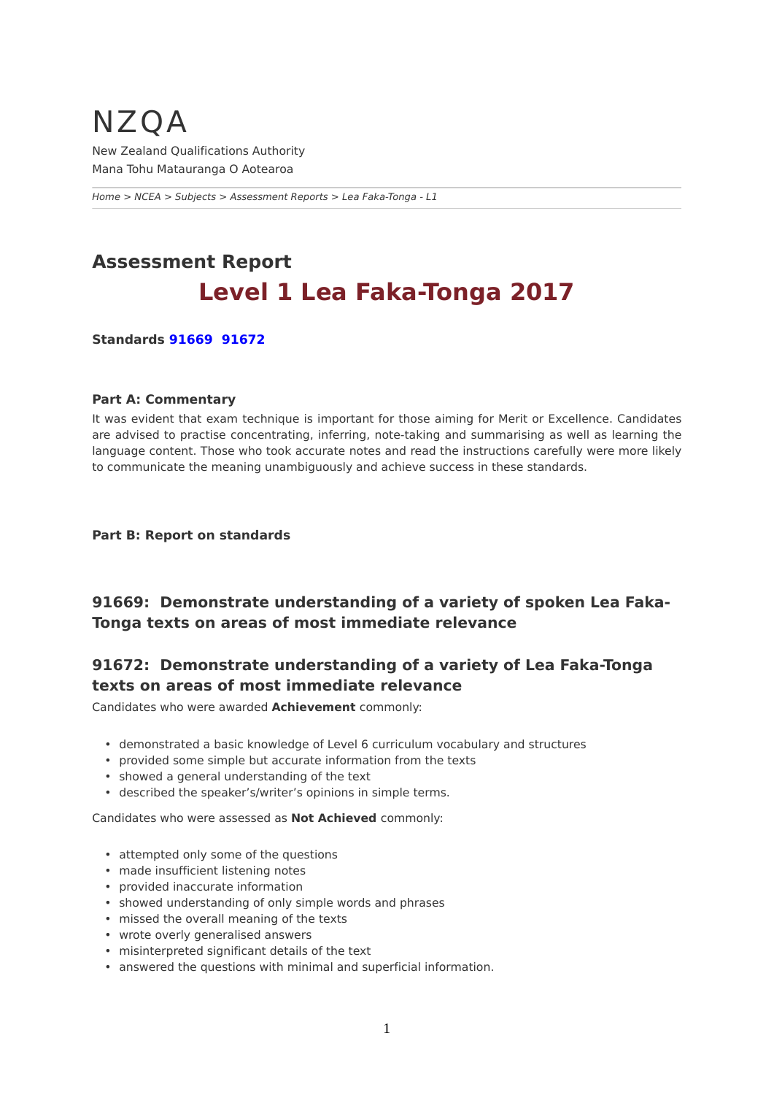## <span id="page-0-0"></span>NZQA New Zealand Qualifications Authority Mana Tohu Matauranga O Aotearoa

*[Home](https://www-test5.nzqa.govt.nz/home) > [NCEA](https://www-test5.nzqa.govt.nz/ncea/) > [Subjects](https://www-test5.nzqa.govt.nz/ncea/subjects/) > [Assessment Reports](https://www-test5.nzqa.govt.nz/ncea/subjects/assessment-reports/) > Lea Faka-Tonga - L1*

# **Assessment Report Level 1 Lea Faka-Tonga 2017**

**Standards [91669](https://www-test5.nzqa.govt.nz/#91669)  [91672](https://www-test5.nzqa.govt.nz/#91672)**

#### **Part A: Commentary**

It was evident that exam technique is important for those aiming for Merit or Excellence. Candidates are advised to practise concentrating, inferring, note-taking and summarising as well as learning the language content. Those who took accurate notes and read the instructions carefully were more likely to communicate the meaning unambiguously and achieve success in these standards.

#### **Part B: Report on standards**

### **91669: Demonstrate understanding of a variety of spoken Lea Faka-Tonga texts on areas of most immediate relevance**

## **91672: Demonstrate understanding of a variety of Lea Faka-Tonga texts on areas of most immediate relevance**

Candidates who were awarded **Achievement** commonly:

- demonstrated a basic knowledge of Level 6 curriculum vocabulary and structures
- provided some simple but accurate information from the texts
- showed a general understanding of the text
- described the speaker's/writer's opinions in simple terms.

Candidates who were assessed as **Not Achieved** commonly:

- attempted only some of the questions
- made insufficient listening notes
- provided inaccurate information
- showed understanding of only simple words and phrases
- missed the overall meaning of the texts
- wrote overly generalised answers
- misinterpreted significant details of the text
- answered the questions with minimal and superficial information.